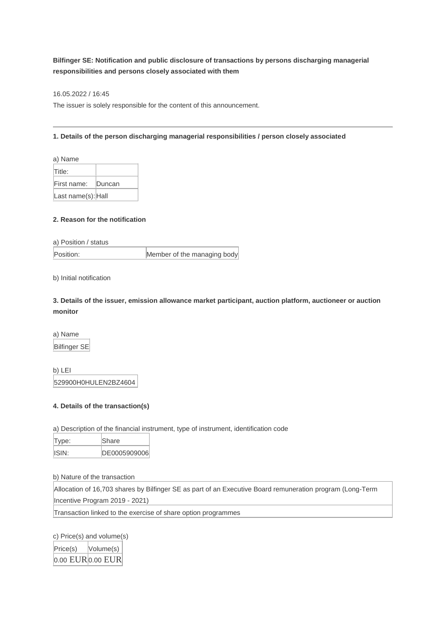## **Bilfinger SE: Notification and public disclosure of transactions by persons discharging managerial responsibilities and persons closely associated with them**

16.05.2022 / 16:45

The issuer is solely responsible for the content of this announcement.

## **1. Details of the person discharging managerial responsibilities / person closely associated**

| a) Name            |        |
|--------------------|--------|
| Title:             |        |
| First name:        | Duncan |
| Last name(s): Hall |        |

## **2. Reason for the notification**

a) Position / status

Position: Member of the managing body

b) Initial notification

**3. Details of the issuer, emission allowance market participant, auction platform, auctioneer or auction monitor**

a) Name Bilfinger SE

b) LEI 529900H0HULEN2BZ4604

## **4. Details of the transaction(s)**

a) Description of the financial instrument, type of instrument, identification code

| Type: | Share         |
|-------|---------------|
| ISIN: | IDE0005909006 |

b) Nature of the transaction

Allocation of 16,703 shares by Bilfinger SE as part of an Executive Board remuneration program (Long-Term Incentive Program 2019 - 2021)

Transaction linked to the exercise of share option programmes

c) Price(s) and volume(s) Price(s) Volume(s)  $0.00$  EUR $0.00$  EUR